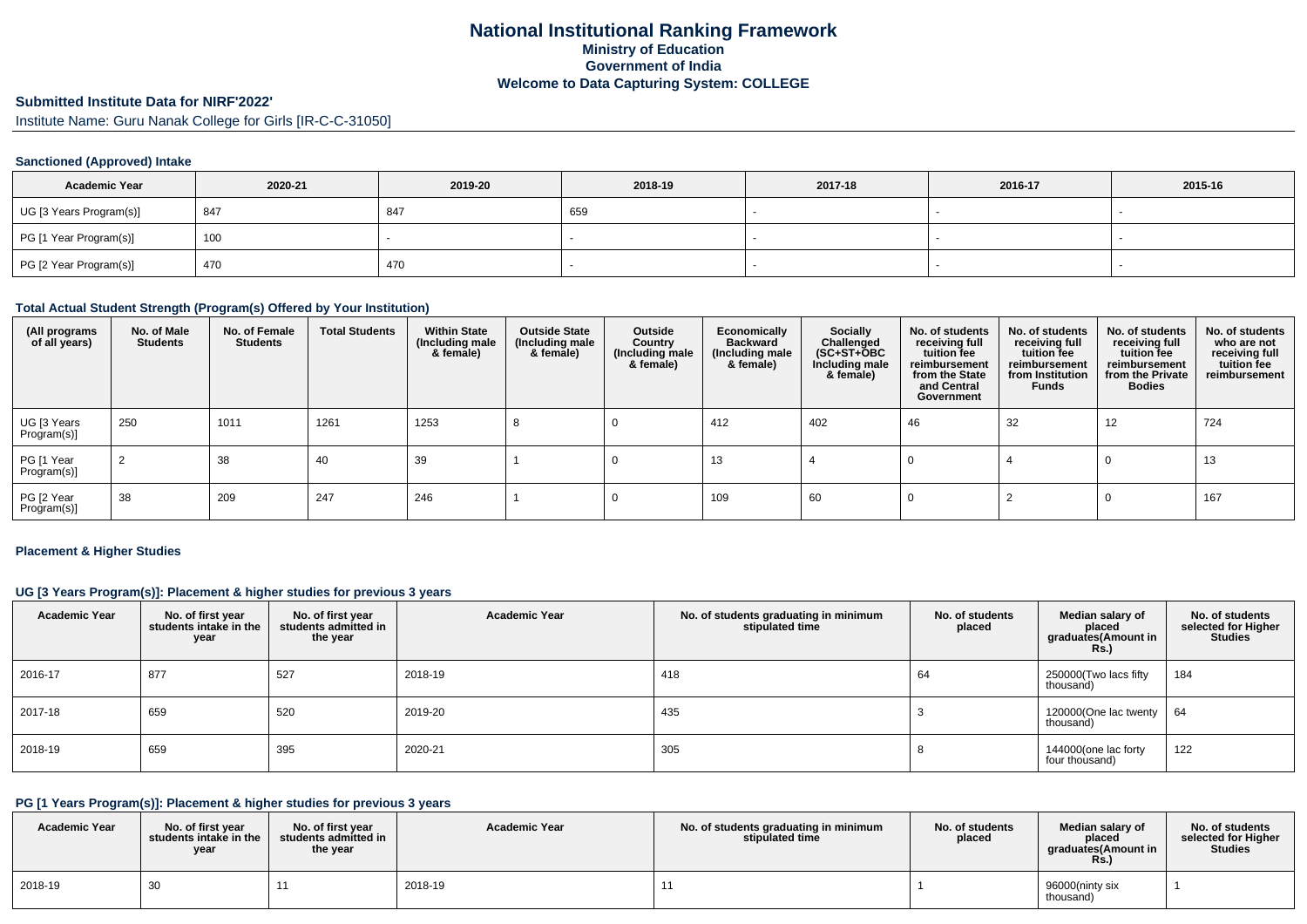# **Submitted Institute Data for NIRF'2022'**

Institute Name: Guru Nanak College for Girls [IR-C-C-31050]

#### **Sanctioned (Approved) Intake**

| <b>Academic Year</b>    | 2020-21 | 2019-20 | 2018-19 | 2017-18 | 2016-17 | 2015-16 |
|-------------------------|---------|---------|---------|---------|---------|---------|
| UG [3 Years Program(s)] | 847     | 847     | 659     |         |         |         |
| PG [1 Year Program(s)]  | 100     |         |         |         |         |         |
| PG [2 Year Program(s)]  | 470     | 470     |         |         |         |         |

#### **Total Actual Student Strength (Program(s) Offered by Your Institution)**

| (All programs<br>of all years) | No. of Male<br><b>Students</b> | No. of Female<br><b>Students</b> | <b>Total Students</b> | <b>Within State</b><br>(Including male<br>& female) | <b>Outside State</b><br>(Including male<br>& female) | Outside<br>Country<br>(Including male<br>& female) | Economically<br><b>Backward</b><br>(Including male<br>& female) | Socially<br>Challenged<br>$(SC+ST+\overline{O}BC)$<br>Including male<br>& female) | No. of students<br>receiving full<br>tuition fee<br>reimbursement<br>from the State<br>and Central<br>Government | No. of students<br>receiving full<br>tuition fee<br>reimbursement<br>from Institution<br><b>Funds</b> | No. of students<br>receiving full<br>tuition fee<br>reimbursement<br>from the Private<br><b>Bodies</b> | No. of students<br>who are not<br>receiving full<br>tuition fee<br>reimbursement |
|--------------------------------|--------------------------------|----------------------------------|-----------------------|-----------------------------------------------------|------------------------------------------------------|----------------------------------------------------|-----------------------------------------------------------------|-----------------------------------------------------------------------------------|------------------------------------------------------------------------------------------------------------------|-------------------------------------------------------------------------------------------------------|--------------------------------------------------------------------------------------------------------|----------------------------------------------------------------------------------|
| UG [3 Years<br>Program(s)]     | 250                            | 1011                             | 1261                  | 1253                                                |                                                      |                                                    | 412                                                             | 402                                                                               | 46                                                                                                               | 32                                                                                                    | 12                                                                                                     | 724                                                                              |
| PG [1 Year<br>Program(s)]      | 2                              | 38                               | 40                    | 39                                                  |                                                      |                                                    | 13                                                              |                                                                                   |                                                                                                                  |                                                                                                       |                                                                                                        | 13                                                                               |
| PG [2 Year<br>Program(s)]      | 38                             | 209                              | 247                   | 246                                                 |                                                      |                                                    | 109                                                             | 60                                                                                |                                                                                                                  |                                                                                                       |                                                                                                        | 167                                                                              |

#### **Placement & Higher Studies**

#### **UG [3 Years Program(s)]: Placement & higher studies for previous 3 years**

| <b>Academic Year</b> | No. of first year<br>students intake in the<br>year | No. of first year<br>students admitted in<br>the year | <b>Academic Year</b> | No. of students graduating in minimum<br>stipulated time | No. of students<br>placed | Median salary of<br>placed<br>graduates(Amount in<br>Rs.) | No. of students<br>selected for Higher<br><b>Studies</b> |
|----------------------|-----------------------------------------------------|-------------------------------------------------------|----------------------|----------------------------------------------------------|---------------------------|-----------------------------------------------------------|----------------------------------------------------------|
| 2016-17              | 877                                                 | 527                                                   | 2018-19              | 418                                                      | 64                        | 250000(Two lacs fifty<br>thousand)                        | 184                                                      |
| 2017-18              | 659                                                 | 520                                                   | 2019-20              | 435                                                      |                           | 120000(One lac twenty<br>thousand)                        | 64                                                       |
| 2018-19              | 659                                                 | 395                                                   | 2020-21              | 305                                                      | $\Omega$                  | 144000(one lac forty<br>four thousand)                    | 122                                                      |

### **PG [1 Years Program(s)]: Placement & higher studies for previous 3 years**

| <b>Academic Year</b> | No. of first vear<br>students intake in the I<br>year | No. of first year<br>students admitted in<br>the year | <b>Academic Year</b> | No. of students graduating in minimum<br>stipulated time | No. of students<br>placed | Median salary of<br>placed<br>graduates (Amount in<br><b>Rs.)</b> | No. of students<br>selected for Higher<br><b>Studies</b> |
|----------------------|-------------------------------------------------------|-------------------------------------------------------|----------------------|----------------------------------------------------------|---------------------------|-------------------------------------------------------------------|----------------------------------------------------------|
| 2018-19              | 30                                                    |                                                       | 2018-19              |                                                          |                           | 96000(ninty six<br>thousand)                                      |                                                          |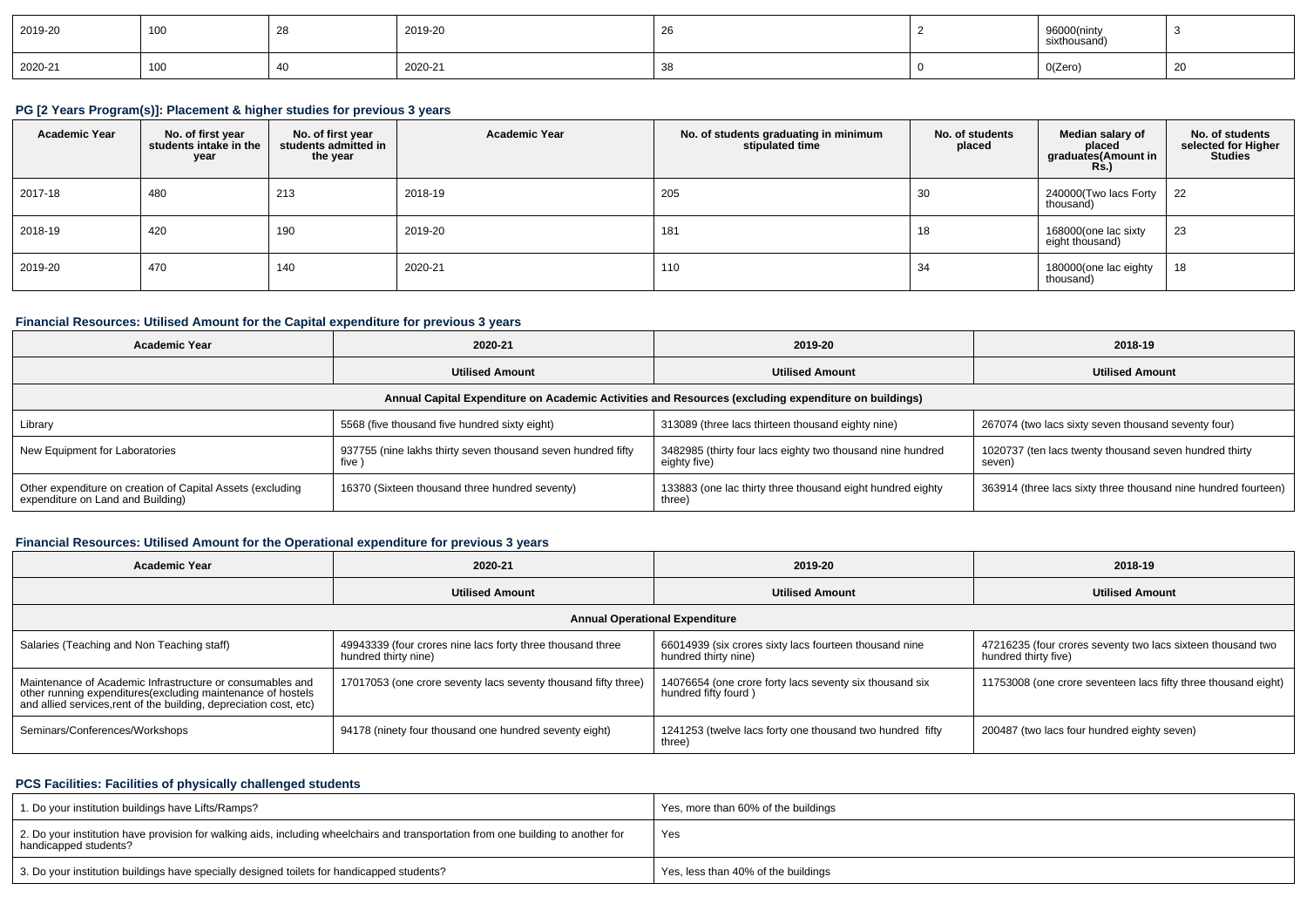| 2019-20 | 100 | ∠ບ | 2019-20 | ∠∪ | 96000(ninty<br>sixthousand |    |
|---------|-----|----|---------|----|----------------------------|----|
| 2020-21 | 100 |    | 2020-21 |    | 0(Zero)                    | ∠ເ |

#### **PG [2 Years Program(s)]: Placement & higher studies for previous 3 years**

| <b>Academic Year</b> | No. of first year<br>students intake in the<br>year | No. of first year<br>students admitted in<br>the year | <b>Academic Year</b> | No. of students graduating in minimum<br>stipulated time | No. of students<br>placed | Median salary of<br>placed<br>graduates(Amount in<br><b>Rs.)</b> | No. of students<br>selected for Higher<br><b>Studies</b> |
|----------------------|-----------------------------------------------------|-------------------------------------------------------|----------------------|----------------------------------------------------------|---------------------------|------------------------------------------------------------------|----------------------------------------------------------|
| 2017-18              | 480                                                 | 213                                                   | 2018-19              | 205                                                      | 30                        | 240000(Two lacs Forty<br>thousand)                               | 22                                                       |
| 2018-19              | 420                                                 | 190                                                   | 2019-20              | 181                                                      | 18                        | 168000(one lac sixty<br>eight thousand)                          | 23                                                       |
| 2019-20              | 470                                                 | 140                                                   | 2020-21              | 110                                                      | 34                        | 180000(one lac eighty<br>thousand)                               | 18                                                       |

## **Financial Resources: Utilised Amount for the Capital expenditure for previous 3 years**

| <b>Academic Year</b><br>2020-21                                                                      |                                                                      | 2019-20                                                                    | 2018-19                                                          |  |  |  |  |  |  |  |  |
|------------------------------------------------------------------------------------------------------|----------------------------------------------------------------------|----------------------------------------------------------------------------|------------------------------------------------------------------|--|--|--|--|--|--|--|--|
| <b>Utilised Amount</b>                                                                               |                                                                      | <b>Utilised Amount</b>                                                     | <b>Utilised Amount</b>                                           |  |  |  |  |  |  |  |  |
| Annual Capital Expenditure on Academic Activities and Resources (excluding expenditure on buildings) |                                                                      |                                                                            |                                                                  |  |  |  |  |  |  |  |  |
| Library                                                                                              | 5568 (five thousand five hundred sixty eight)                        | 313089 (three lacs thirteen thousand eighty nine)                          | 267074 (two lacs sixty seven thousand seventy four)              |  |  |  |  |  |  |  |  |
| New Equipment for Laboratories                                                                       | 937755 (nine lakhs thirty seven thousand seven hundred fifty<br>five | 3482985 (thirty four lacs eighty two thousand nine hundred<br>eighty five) | 1020737 (ten lacs twenty thousand seven hundred thirty<br>seven) |  |  |  |  |  |  |  |  |
| Other expenditure on creation of Capital Assets (excluding<br>expenditure on Land and Building)      | 16370 (Sixteen thousand three hundred seventy)                       | 133883 (one lac thirty three thousand eight hundred eighty<br>three)       | 363914 (three lacs sixty three thousand nine hundred fourteen)   |  |  |  |  |  |  |  |  |

## **Financial Resources: Utilised Amount for the Operational expenditure for previous 3 years**

| <b>Academic Year</b>                                                                                                                                                                           | 2020-21                                                                            | 2019-20                                                                         | 2018-19                                                                             |  |
|------------------------------------------------------------------------------------------------------------------------------------------------------------------------------------------------|------------------------------------------------------------------------------------|---------------------------------------------------------------------------------|-------------------------------------------------------------------------------------|--|
| <b>Utilised Amount</b>                                                                                                                                                                         |                                                                                    | <b>Utilised Amount</b>                                                          | <b>Utilised Amount</b>                                                              |  |
|                                                                                                                                                                                                |                                                                                    | <b>Annual Operational Expenditure</b>                                           |                                                                                     |  |
| Salaries (Teaching and Non Teaching staff)                                                                                                                                                     | 49943339 (four crores nine lacs forty three thousand three<br>hundred thirty nine) | 66014939 (six crores sixty lacs fourteen thousand nine<br>hundred thirty nine)  | 47216235 (four crores seventy two lacs sixteen thousand two<br>hundred thirty five) |  |
| Maintenance of Academic Infrastructure or consumables and<br>other running expenditures(excluding maintenance of hostels<br>and allied services, rent of the building, depreciation cost, etc) | 17017053 (one crore seventy lacs seventy thousand fifty three)                     | 14076654 (one crore forty lacs seventy six thousand six<br>hundred fifty fourd) | 11753008 (one crore seventeen lacs fifty three thousand eight)                      |  |
| Seminars/Conferences/Workshops                                                                                                                                                                 | 94178 (ninety four thousand one hundred seventy eight)                             | 1241253 (twelve lacs forty one thousand two hundred fifty<br>three)             | 200487 (two lacs four hundred eighty seven)                                         |  |

#### **PCS Facilities: Facilities of physically challenged students**

| 1. Do your institution buildings have Lifts/Ramps?                                                                                                         | Yes, more than 60% of the buildings |
|------------------------------------------------------------------------------------------------------------------------------------------------------------|-------------------------------------|
| 2. Do your institution have provision for walking aids, including wheelchairs and transportation from one building to another for<br>handicapped students? | Yes                                 |
| 3. Do your institution buildings have specially designed toilets for handicapped students?                                                                 | Yes, less than 40% of the buildings |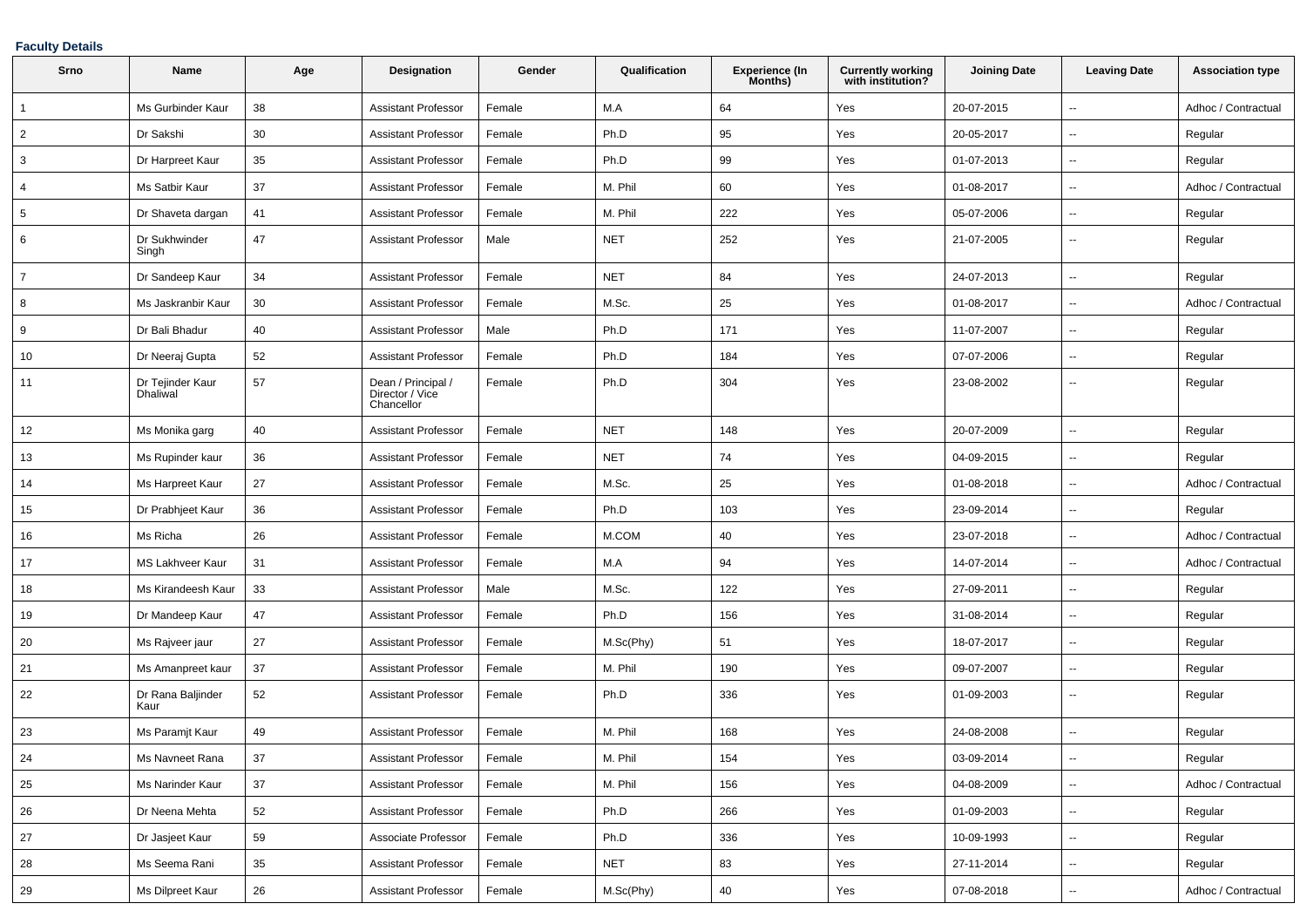### **Faculty Details**

| Srno           | Name                                | Age | Designation                                         | Gender | Qualification | Experience (In<br>Months) | <b>Currently working</b><br>with institution? | <b>Joining Date</b> | <b>Leaving Date</b>      | <b>Association type</b> |
|----------------|-------------------------------------|-----|-----------------------------------------------------|--------|---------------|---------------------------|-----------------------------------------------|---------------------|--------------------------|-------------------------|
| $\overline{1}$ | Ms Gurbinder Kaur                   | 38  | <b>Assistant Professor</b>                          | Female | M.A           | 64                        | Yes                                           | 20-07-2015          | $\sim$                   | Adhoc / Contractual     |
| $\overline{2}$ | Dr Sakshi                           | 30  | <b>Assistant Professor</b>                          | Female | Ph.D          | 95                        | Yes                                           | 20-05-2017          | --                       | Regular                 |
| 3              | Dr Harpreet Kaur                    | 35  | <b>Assistant Professor</b>                          | Female | Ph.D          | 99                        | Yes                                           | 01-07-2013          | $\overline{\phantom{a}}$ | Regular                 |
| $\overline{4}$ | Ms Satbir Kaur                      | 37  | <b>Assistant Professor</b>                          | Female | M. Phil       | 60                        | Yes                                           | 01-08-2017          | $\sim$                   | Adhoc / Contractual     |
| 5              | Dr Shaveta dargan                   | 41  | <b>Assistant Professor</b>                          | Female | M. Phil       | 222                       | Yes                                           | 05-07-2006          | $\overline{\phantom{a}}$ | Regular                 |
| 6              | Dr Sukhwinder<br>Singh              | 47  | <b>Assistant Professor</b>                          | Male   | <b>NET</b>    | 252                       | Yes                                           | 21-07-2005          | $\sim$                   | Regular                 |
| $\overline{7}$ | Dr Sandeep Kaur                     | 34  | <b>Assistant Professor</b>                          | Female | <b>NET</b>    | 84                        | Yes                                           | 24-07-2013          | $\sim$                   | Regular                 |
| 8              | Ms Jaskranbir Kaur                  | 30  | <b>Assistant Professor</b>                          | Female | M.Sc.         | 25                        | Yes                                           | 01-08-2017          | $\sim$                   | Adhoc / Contractual     |
| 9              | Dr Bali Bhadur                      | 40  | <b>Assistant Professor</b>                          | Male   | Ph.D          | 171                       | Yes                                           | 11-07-2007          | $\overline{\phantom{a}}$ | Regular                 |
| 10             | Dr Neeraj Gupta                     | 52  | <b>Assistant Professor</b>                          | Female | Ph.D          | 184                       | Yes                                           | 07-07-2006          | $\sim$                   | Regular                 |
| 11             | Dr Tejinder Kaur<br><b>Dhaliwal</b> | 57  | Dean / Principal /<br>Director / Vice<br>Chancellor | Female | Ph.D          | 304                       | Yes                                           | 23-08-2002          | $\overline{\phantom{a}}$ | Regular                 |
| 12             | Ms Monika garg                      | 40  | <b>Assistant Professor</b>                          | Female | <b>NET</b>    | 148                       | Yes                                           | 20-07-2009          | $\overline{\phantom{a}}$ | Regular                 |
| 13             | Ms Rupinder kaur                    | 36  | <b>Assistant Professor</b>                          | Female | <b>NET</b>    | 74                        | Yes                                           | 04-09-2015          | $\sim$                   | Regular                 |
| 14             | Ms Harpreet Kaur                    | 27  | <b>Assistant Professor</b>                          | Female | M.Sc.         | 25                        | Yes                                           | 01-08-2018          | $\sim$                   | Adhoc / Contractual     |
| 15             | Dr Prabhjeet Kaur                   | 36  | <b>Assistant Professor</b>                          | Female | Ph.D          | 103                       | Yes                                           | 23-09-2014          | $\sim$                   | Regular                 |
| 16             | Ms Richa                            | 26  | <b>Assistant Professor</b>                          | Female | M.COM         | 40                        | Yes                                           | 23-07-2018          | $\sim$                   | Adhoc / Contractual     |
| 17             | <b>MS Lakhveer Kaur</b>             | 31  | <b>Assistant Professor</b>                          | Female | M.A           | 94                        | Yes                                           | 14-07-2014          | $\overline{\phantom{a}}$ | Adhoc / Contractual     |
| 18             | Ms Kirandeesh Kaur                  | 33  | <b>Assistant Professor</b>                          | Male   | M.Sc.         | 122                       | Yes                                           | 27-09-2011          | $\overline{\phantom{a}}$ | Regular                 |
| 19             | Dr Mandeep Kaur                     | 47  | <b>Assistant Professor</b>                          | Female | Ph.D          | 156                       | Yes                                           | 31-08-2014          | $\overline{\phantom{a}}$ | Regular                 |
| 20             | Ms Rajveer jaur                     | 27  | <b>Assistant Professor</b>                          | Female | M.Sc(Phy)     | 51                        | Yes                                           | 18-07-2017          | $\overline{\phantom{a}}$ | Regular                 |
| 21             | Ms Amanpreet kaur                   | 37  | <b>Assistant Professor</b>                          | Female | M. Phil       | 190                       | Yes                                           | 09-07-2007          | $\sim$                   | Regular                 |
| 22             | Dr Rana Baljinder<br>Kaur           | 52  | <b>Assistant Professor</b>                          | Female | Ph.D          | 336                       | Yes                                           | 01-09-2003          | $\sim$                   | Regular                 |
| 23             | Ms Paramjt Kaur                     | 49  | <b>Assistant Professor</b>                          | Female | M. Phil       | 168                       | Yes                                           | 24-08-2008          | $\overline{\phantom{a}}$ | Regular                 |
| 24             | Ms Navneet Rana                     | 37  | <b>Assistant Professor</b>                          | Female | M. Phil       | 154                       | Yes                                           | 03-09-2014          | $\sim$                   | Regular                 |
| 25             | Ms Narinder Kaur                    | 37  | <b>Assistant Professor</b>                          | Female | M. Phil       | 156                       | Yes                                           | 04-08-2009          | $\overline{\phantom{a}}$ | Adhoc / Contractual     |
| 26             | Dr Neena Mehta                      | 52  | <b>Assistant Professor</b>                          | Female | Ph.D          | 266                       | Yes                                           | 01-09-2003          | $\overline{\phantom{a}}$ | Regular                 |
| 27             | Dr Jasjeet Kaur                     | 59  | Associate Professor                                 | Female | Ph.D          | 336                       | Yes                                           | 10-09-1993          | $\sim$                   | Regular                 |
| 28             | Ms Seema Rani                       | 35  | <b>Assistant Professor</b>                          | Female | <b>NET</b>    | 83                        | Yes                                           | 27-11-2014          | $\sim$                   | Regular                 |
| 29             | Ms Dilpreet Kaur                    | 26  | <b>Assistant Professor</b>                          | Female | M.Sc(Phy)     | $40\,$                    | Yes                                           | 07-08-2018          | $\sim$                   | Adhoc / Contractual     |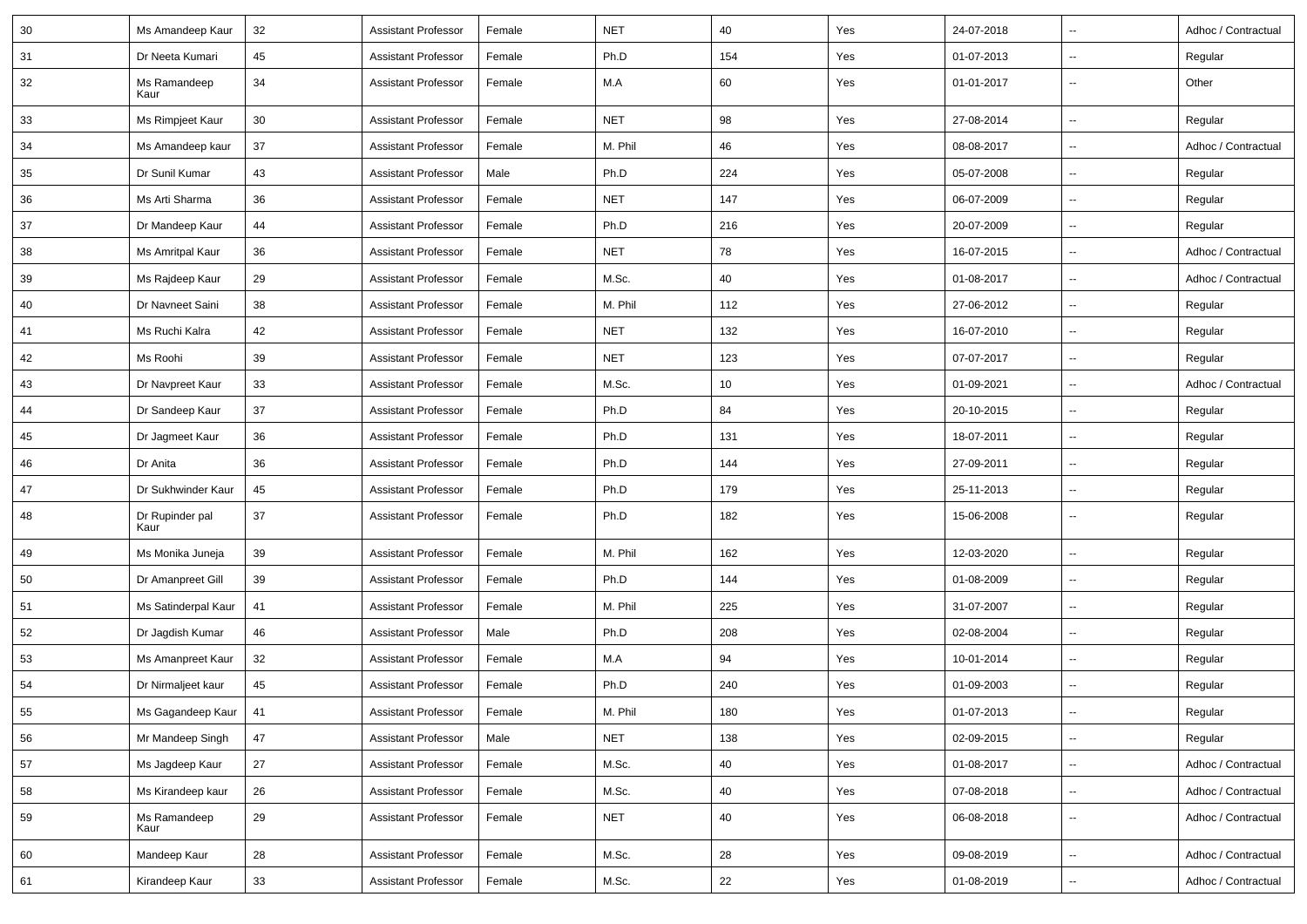| 30 | Ms Amandeep Kaur        | 32 | <b>Assistant Professor</b> | Female | <b>NET</b> | 40  | Yes | 24-07-2018 | $\overline{\phantom{a}}$ | Adhoc / Contractual |
|----|-------------------------|----|----------------------------|--------|------------|-----|-----|------------|--------------------------|---------------------|
| 31 | Dr Neeta Kumari         | 45 | <b>Assistant Professor</b> | Female | Ph.D       | 154 | Yes | 01-07-2013 | $\overline{\phantom{a}}$ | Regular             |
| 32 | Ms Ramandeep<br>Kaur    | 34 | <b>Assistant Professor</b> | Female | M.A        | 60  | Yes | 01-01-2017 | $\overline{\phantom{a}}$ | Other               |
| 33 | Ms Rimpjeet Kaur        | 30 | <b>Assistant Professor</b> | Female | <b>NET</b> | 98  | Yes | 27-08-2014 | $\sim$                   | Regular             |
| 34 | Ms Amandeep kaur        | 37 | Assistant Professor        | Female | M. Phil    | 46  | Yes | 08-08-2017 | $\sim$                   | Adhoc / Contractual |
| 35 | Dr Sunil Kumar          | 43 | <b>Assistant Professor</b> | Male   | Ph.D       | 224 | Yes | 05-07-2008 | $\overline{\phantom{a}}$ | Regular             |
| 36 | Ms Arti Sharma          | 36 | <b>Assistant Professor</b> | Female | <b>NET</b> | 147 | Yes | 06-07-2009 | $\overline{\phantom{a}}$ | Regular             |
| 37 | Dr Mandeep Kaur         | 44 | <b>Assistant Professor</b> | Female | Ph.D       | 216 | Yes | 20-07-2009 | $\overline{\phantom{a}}$ | Regular             |
| 38 | Ms Amritpal Kaur        | 36 | <b>Assistant Professor</b> | Female | <b>NET</b> | 78  | Yes | 16-07-2015 | $\overline{\phantom{a}}$ | Adhoc / Contractual |
| 39 | Ms Rajdeep Kaur         | 29 | <b>Assistant Professor</b> | Female | M.Sc.      | 40  | Yes | 01-08-2017 | $\overline{\phantom{a}}$ | Adhoc / Contractual |
| 40 | Dr Navneet Saini        | 38 | Assistant Professor        | Female | M. Phil    | 112 | Yes | 27-06-2012 | $\overline{\phantom{a}}$ | Regular             |
| 41 | Ms Ruchi Kalra          | 42 | <b>Assistant Professor</b> | Female | <b>NET</b> | 132 | Yes | 16-07-2010 | $\overline{\phantom{a}}$ | Regular             |
| 42 | Ms Roohi                | 39 | <b>Assistant Professor</b> | Female | <b>NET</b> | 123 | Yes | 07-07-2017 | $\sim$                   | Regular             |
| 43 | Dr Navpreet Kaur        | 33 | <b>Assistant Professor</b> | Female | M.Sc.      | 10  | Yes | 01-09-2021 | $\sim$                   | Adhoc / Contractual |
| 44 | Dr Sandeep Kaur         | 37 | <b>Assistant Professor</b> | Female | Ph.D       | 84  | Yes | 20-10-2015 | $\overline{\phantom{a}}$ | Regular             |
| 45 | Dr Jagmeet Kaur         | 36 | <b>Assistant Professor</b> | Female | Ph.D       | 131 | Yes | 18-07-2011 | $\overline{\phantom{a}}$ | Regular             |
| 46 | Dr Anita                | 36 | <b>Assistant Professor</b> | Female | Ph.D       | 144 | Yes | 27-09-2011 | $\overline{\phantom{a}}$ | Regular             |
| 47 | Dr Sukhwinder Kaur      | 45 | <b>Assistant Professor</b> | Female | Ph.D       | 179 | Yes | 25-11-2013 | $\overline{\phantom{a}}$ | Regular             |
| 48 | Dr Rupinder pal<br>Kaur | 37 | <b>Assistant Professor</b> | Female | Ph.D       | 182 | Yes | 15-06-2008 | $\sim$                   | Regular             |
| 49 | Ms Monika Juneja        | 39 | <b>Assistant Professor</b> | Female | M. Phil    | 162 | Yes | 12-03-2020 | $\overline{\phantom{a}}$ | Regular             |
| 50 | Dr Amanpreet Gill       | 39 | <b>Assistant Professor</b> | Female | Ph.D       | 144 | Yes | 01-08-2009 | $\overline{\phantom{a}}$ | Regular             |
| 51 | Ms Satinderpal Kaur     | 41 | <b>Assistant Professor</b> | Female | M. Phil    | 225 | Yes | 31-07-2007 | $\overline{\phantom{a}}$ | Regular             |
| 52 | Dr Jagdish Kumar        | 46 | <b>Assistant Professor</b> | Male   | Ph.D       | 208 | Yes | 02-08-2004 | $\sim$                   | Regular             |
| 53 | Ms Amanpreet Kaur       | 32 | <b>Assistant Professor</b> | Female | M.A        | 94  | Yes | 10-01-2014 | $\overline{\phantom{a}}$ | Regular             |
| 54 | Dr Nirmaljeet kaur      | 45 | <b>Assistant Professor</b> | Female | Ph.D       | 240 | Yes | 01-09-2003 | $\overline{\phantom{a}}$ | Regular             |
| 55 | Ms Gagandeep Kaur   41  |    | Assistant Professor        | Female | M. Phil    | 180 | Yes | 01-07-2013 |                          | Regular             |
| 56 | Mr Mandeep Singh        | 47 | <b>Assistant Professor</b> | Male   | NET        | 138 | Yes | 02-09-2015 | $\overline{\phantom{a}}$ | Regular             |
| 57 | Ms Jagdeep Kaur         | 27 | <b>Assistant Professor</b> | Female | M.Sc.      | 40  | Yes | 01-08-2017 | $\overline{\phantom{a}}$ | Adhoc / Contractual |
| 58 | Ms Kirandeep kaur       | 26 | <b>Assistant Professor</b> | Female | M.Sc.      | 40  | Yes | 07-08-2018 | $\overline{\phantom{a}}$ | Adhoc / Contractual |
| 59 | Ms Ramandeep<br>Kaur    | 29 | <b>Assistant Professor</b> | Female | <b>NET</b> | 40  | Yes | 06-08-2018 | $\overline{\phantom{a}}$ | Adhoc / Contractual |
| 60 | Mandeep Kaur            | 28 | <b>Assistant Professor</b> | Female | M.Sc.      | 28  | Yes | 09-08-2019 | $\overline{\phantom{a}}$ | Adhoc / Contractual |
| 61 | Kirandeep Kaur          | 33 | <b>Assistant Professor</b> | Female | M.Sc.      | 22  | Yes | 01-08-2019 | $\overline{\phantom{a}}$ | Adhoc / Contractual |